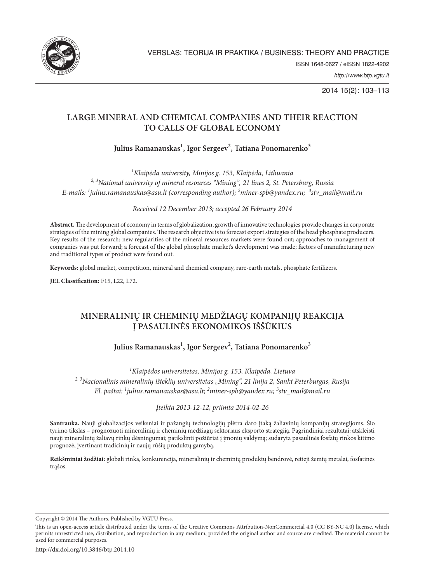

2014 15(2): 103–113

# **LARGE MINERAL AND CHEMICAL COMPANIES AND THEIR REACTION TO CALLS OF GLOBAL ECONOMY**

Julius Ramanauskas<sup>1</sup>, Igor Sergeev<sup>2</sup>, Tatiana Ponomarenko<sup>3</sup>

*1 Klaipėda university, Minijos g. 153, Klaipėda, Lithuania 2, 3National university of mineral resources "Mining", 21 lines 2, St. Petersburg, Russia E-mails: <sup>1</sup> julius.ramanauskas@asu.lt (corresponding author); <sup>2</sup> miner-spb@yandex.ru; <sup>3</sup> stv\_mail@mail.ru*

*Received 12 December 2013; accepted 26 February 2014*

**Abstract.** The development of economy in terms of globalization, growth of innovative technologies provide changes in corporate strategies of the mining global companies. The research objective is to forecast export strategies of the head phosphate producers. Key results of the research: new regularities of the mineral resources markets were found out; approaches to management of companies was put forward; a forecast of the global phosphate market's development was made; factors of manufacturing new and traditional types of product were found out.

**Keywords:** global market, competition, mineral and chemical company, rare-earth metals, phosphate fertilizers.

**JEL Classification:** F15, L22, L72.

# **MINERALINIŲ IR CHEMINIŲ MEDŽIAGŲ KOMPANIJŲ REAKCIJA Į PASAULINĖS EKONOMIKOS IŠŠŪKIUS**

## Julius Ramanauskas<sup>1</sup>, Igor Sergeev<sup>2</sup>, Tatiana Ponomarenko<sup>3</sup>

*1 Klaipėdos universitetas, Minijos g. 153, Klaipėda, Lietuva* <sup>2, 3</sup>Nacionalinis mineralinių išteklių universitetas "Mining", 21 linija 2, Sankt Peterburgas, Rusija *El. paštai: <sup>1</sup> julius.ramanauskas@asu.lt; <sup>2</sup> miner-spb@yandex.ru; <sup>3</sup> stv\_mail@mail.ru*

*Įteikta 2013-12-12; priimta 2014-02-26*

**Santrauka.** Nauji globalizacijos veiksniai ir pažangių technologijų plėtra daro įtaką žaliavinių kompanijų strategijoms. Šio tyrimo tikslas – prognozuoti mineralinių ir cheminių medžiagų sektoriaus eksporto strategiją. Pagrindiniai rezultatai: atskleisti nauji mineralinių žaliavų rinkų dėsningumai; patikslinti požiūriai į įmonių valdymą; sudaryta pasaulinės fosfatų rinkos kitimo prognozė, įvertinant tradicinių ir naujų rūšių produktų gamybą.

**Reikšminiai žodžiai:** globali rinka, konkurencija, mineralinių ir cheminių produktų bendrovė, retieji žemių metalai, fosfatinės trąšos.

Copyright © 2014 The Authors. Published by VGTU Press.

This is an open-access article distributed under the terms of the Creative Commons Attribution-NonCommercial 4.0 (CC BY-NC 4.0) license, which permits unrestricted use, distribution, and reproduction in any medium, provided the original author and source are credited. The material cannot be used for commercial purposes.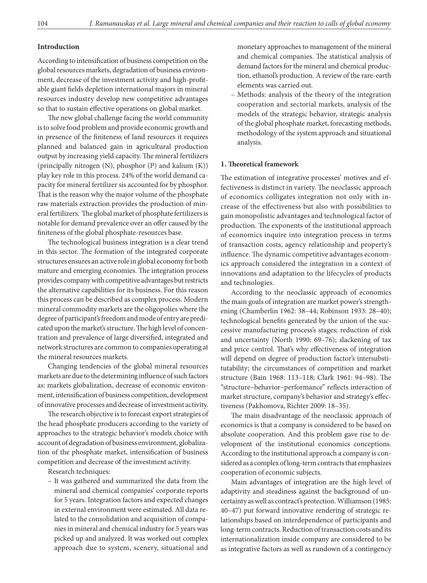### **Introduction**

According to intensification of business competition on the global resources markets, degradation of business environment, decrease of the investment activity and high-profitable giant fields depletion international majors in mineral resources industry develop new competitive advantages so that to sustain effective operations on global market.

The new global challenge facing the world community is to solve food problem and provide economic growth and in presence of the finiteness of land resources it requires planned and balanced gain in agricultural production output by increasing yield capacity. The mineral fertilizers (principally nitrogen (N), phosphor (P) and kalium (K)) play key role in this process. 24% of the world demand capacity for mineral fertilizer sis accounted for by phosphor. That is the reason why the major volume of the phosphate raw materials extraction provides the production of mineral fertilizers. The global market of phosphate fertilizers is notable for demand prevalence over an offer caused by the finiteness of the global phosphate-resources base.

The technological business integration is a clear trend in this sector. The formation of the integrated corporate structures ensures an active role in global economy for both mature and emerging economies. The integration process provides company with competitive advantages but restricts the alternative capabilities for its business. For this reason this process can be described as complex process. Modern mineral commodity markets are the oligopolies where the degree of participant's freedom and mode of entry are predicated upon the market's structure. The high level of concentration and prevalence of large diversified, integrated and network structures are common to companies operating at the mineral resources markets.

Changing tendencies of the global mineral resources markets are due to the determining influence of such factors as: markets globalization, decrease of economic environment, intensification of business competition, development of innovative processes and decrease of investment activity.

The research objective is to forecast export strategies of the head phosphate producers according to the variety of approaches to the strategic behavior's models choice with account of degradation of business environment, globalization of the phosphate market, intensification of business competition and decrease of the investment activity.

Research techniques:

– It was gathered and summarized the data from the mineral and chemical companies' corporate reports for 5 years. Integration factors and expected changes in external environment were estimated. All data related to the consolidation and acquisition of companies in mineral and chemical industry for 5 years was picked up and analyzed. It was worked out complex approach due to system, scenery, situational and

monetary approaches to management of the mineral and chemical companies. The statistical analysis of demand factors for the mineral and chemical production, ethanol's production. A review of the rare-earth elements was carried out.

– Methods: analysis of the theory of the integration cooperation and sectorial markets, analysis of the models of the strategic behavior, strategic analysis of the global phosphate market, forecasting methods, methodology of the system approach and situational analysis.

#### **1. Theoretical framework**

The estimation of integrative processes' motives and effectiveness is distinct in variety. The neoclassic approach of economics colligates integration not only with increase of the effectiveness but also with possibilities to gain monopolistic advantages and technological factor of production. The exponents of the institutional approach of economics inquire into integration process in terms of transaction costs, agency relationship and property's influence. The dynamic competitive advantages economics approach considered the integration in a context of innovations and adaptation to the lifecycles of products and technologies.

According to the neoclassic approach of economics the main goals of integration are market power's strengthening (Chamberlin 1962: 38–44; Robinson 1933: 28–40); technological benefits generated by the union of the successive manufacturing process's stages; reduction of risk and uncertainty (North 1990: 69–76); slackening of tax and price control. That's why effectiveness of integration will depend on degree of production factor's intersubstitutability; the circumstances of competition and market structure (Bain 1968: 113–118; Clark 1961: 94–98). The "structure–behavior–performance" reflects interaction of market structure, company's behavior and strategy's effectiveness (Pakhomova, Richter 2009: 18–35).

The main disadvantage of the neoclassic approach of economics is that a company is considered to be based on absolute cooperation. And this problem gave rise to development of the institutional economics conceptions. According to the institutional approach a company is considered as a complex of long-term contracts that emphasizes cooperation of economic subjects.

Main advantages of integration are the high level of adaptivity and steadiness against the background of uncertainty as well as contract's protection. Williamson (1985: 40–47) put forward innovative rendering of strategic relationships based on interdependence of participants and long-term contracts. Reduction of transaction costs and its internationalization inside company are considered to be as integrative factors as well as rundown of a contingency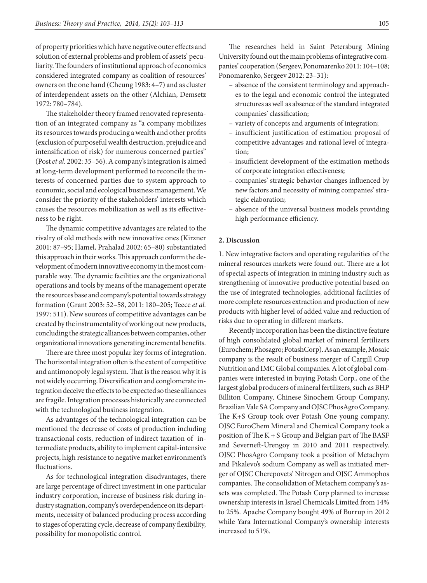of property priorities which have negative outer effects and solution of external problems and problem of assets' peculiarity. The founders of institutional approach of economics considered integrated company as coalition of resources' owners on the one hand (Cheung 1983: 4–7) and as cluster of interdependent assets on the other (Alchian, Demsetz 1972: 780–784).

The stakeholder theory framed renovated representation of an integrated company as "a company mobilizes its resources towards producing a wealth and other profits (exclusion of purposeful wealth destruction, prejudice and intensification of risk) for numerous concerned parties" (Post *et al.* 2002: 35–56). A company's integration is aimed at long-term development performed to reconcile the interests of concerned parties due to system approach to economic, social and ecological business management. We consider the priority of the stakeholders' interests which causes the resources mobilization as well as its effectiveness to be right.

The dynamic competitive advantages are related to the rivalry of old methods with new innovative ones (Kirzner 2001: 87–95; Hamel, Prahalad 2002: 65–80) substantiated this approach in their works. This approach conform the development of modern innovative economy in the most comparable way. The dynamic facilities are the organizational operations and tools by means of the management operate the resources base and company's potential towards strategy formation (Grant 2003: 52–58, 2011: 180–205; Teece *et al.* 1997: 511). New sources of competitive advantages can be created by the instrumentality of working out new products, concluding the strategic alliances between companies, other organizational innovations generating incremental benefits.

There are three most popular key forms of integration. The horizontal integration often is the extent of competitive and antimonopoly legal system. That is the reason why it is not widely occurring. Diversification and conglomerate integration deceive the effects to be expected so these alliances are fragile. Integration processes historically are connected with the technological business integration.

As advantages of the technological integration can be mentioned the decrease of costs of production including transactional costs, reduction of indirect taxation of intermediate products, ability to implement capital-intensive projects, high resistance to negative market environment's fluctuations.

As for technological integration disadvantages, there are large percentage of direct investment in one particular industry corporation, increase of business risk during industry stagnation, company's overdependence on its departments, necessity of balanced producing process according to stages of operating cycle, decrease of company flexibility, possibility for monopolistic control.

The researches held in Saint Petersburg Mining University found out the main problems of integrative companies' cooperation (Sergeev, Ponomarenko 2011: 104–108; Ponomarenko, Sergeev 2012: 23–31):

- absence of the consistent terminology and approaches to the legal and economic control the integrated structures as well as absence of the standard integrated companies' classification;
- variety of concepts and arguments of integration;
- insufficient justification of estimation proposal of competitive advantages and rational level of integration;
- insufficient development of the estimation methods of corporate integration effectiveness;
- companies' strategic behavior changes influenced by new factors and necessity of mining companies' strategic elaboration;
- absence of the universal business models providing high performance efficiency.

## **2. Discussion**

1. New integrative factors and operating regularities of the mineral resources markets were found out. There are a lot of special aspects of integration in mining industry such as strengthening of innovative productive potential based on the use of integrated technologies, additional facilities of more complete resources extraction and production of new products with higher level of added value and reduction of risks due to operating in different markets.

Recently incorporation has been the distinctive feature of high consolidated global market of mineral fertilizers (Eurochem; Phosagro; PotashCorp). As an example, Mosaic company is the result of business merger of Cargill Crop Nutrition and IMC Global companies. A lot of global companies were interested in buying Potash Corp., one of the largest global producers of mineral fertilizers, such as BHP Billiton Company, Chinese Sinochem Group Company, Brazilian Vale SA Company and OJSC PhosAgro Company. The K+S Group took over Potash One young company. OJSC EuroChem Mineral and Chemical Company took a position of The K + S Group and Belgian part of The BASF and Severneft-Urengoy in 2010 and 2011 respectively. OJSC PhosAgro Company took a position of Metaсhуm and Pikalevo's sodium Company as well as initiated merger of OJSC Cherepovets' Nitrogen and OJSC Ammophos companies. The consolidation of Metachem company's assets was completed. The Potash Corp planned to increase ownership interests in Israel Chemicals Limited from 14% to 25%. Apache Company bought 49% of Burrup in 2012 while Yara International Company's ownership interests increased to 51%.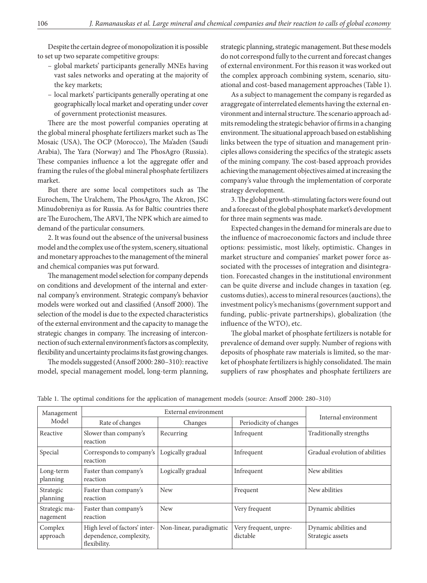Despite the certain degree of monopolization it is possible to set up two separate competitive groups:

- global markets' participants generally MNEs having vast sales networks and operating at the majority of the key markets;
- local markets' participants generally operating at one geographically local market and operating under cover of government protectionist measures.

There are the most powerful companies operating at the global mineral phosphate fertilizers market such as The Mosaic (USA), The OCP (Morocco), The Ma'aden (Saudi Arabia), The Yara (Norway) and The PhosAgro (Russia). These companies influence a lot the aggregate offer and framing the rules of the global mineral phosphate fertilizers market.

But there are some local competitors such as The Eurochem, The Uralchem, The PhosAgro, The Akron, JSC Minudobreniya as for Russia. As for Baltic countries there are The Eurochem, The ARVI, The NPK which are aimed to demand of the particular consumers.

2. It was found out the absence of the universal business model and the complex use of the system, scenery, situational and monetary approaches to the management of the mineral and chemical companies was put forward.

The management model selection for company depends on conditions and development of the internal and external company's environment. Strategic company's behavior models were worked out and classified (Ansoff 2000). The selection of the model is due to the expected characteristics of the external environment and the capacity to manage the strategic changes in company. The increasing of interconnection of such external environment's factors as complexity, flexibility and uncertainty proclaims its fast growing changes.

The models suggested (Ansoff 2000: 280–310): reactive model, special management model, long-term planning,

strategic planning, strategic management. But these models do not correspond fully to the current and forecast changes of external environment. For this reason it was worked out the complex approach combining system, scenario, situational and cost-based management approaches (Table 1).

As a subject to management the company is regarded as aтaggregate of interrelated elements having the external environment and internal structure. The scenario approach admits remodeling the strategic behavior of firms in a changing environment. The situational approach based on establishing links between the type of situation and management principles allows considering the specifics of the strategic assets of the mining company. The cost-based approach provides achieving the management objectives aimed at increasing the company's value through the implementation of corporate strategy development.

3. The global growth-stimulating factors were found out and a forecast of the global phosphate market's development for three main segments was made.

Expected changes in the demand for minerals are due to the influence of macroeconomic factors and include three options: pessimistic, most likely, optimistic. Changes in market structure and companies' market power force associated with the processes of integration and disintegration. Forecasted changes in the institutional environment can be quite diverse and include changes in taxation (eg. customs duties), access to mineral resources (auctions), the investment policy's mechanisms (government support and funding, public-private partnerships), globalization (the influence of the WTO), etc.

The global market of phosphate fertilizers is notable for prevalence of demand over supply. Number of regions with deposits of phosphate raw materials is limited, so the market of phosphate fertilizers is highly consolidated. The main suppliers of raw phosphates and phosphate fertilizers are

| Management<br>Model       |                                                                          | Internal environment     |                                   |                                           |
|---------------------------|--------------------------------------------------------------------------|--------------------------|-----------------------------------|-------------------------------------------|
|                           | Rate of changes                                                          | Changes                  | Periodicity of changes            |                                           |
| Reactive                  | Slower than company's<br>reaction                                        | Recurring                | Infrequent                        | Traditionally strengths                   |
| Special                   | Corresponds to company's<br>reaction                                     | Logically gradual        | Infrequent                        | Gradual evolution of abilities            |
| Long-term<br>planning     | Faster than company's<br>reaction                                        | Logically gradual        | Infrequent                        | New abilities                             |
| Strategic<br>planning     | Faster than company's<br>reaction                                        | <b>New</b>               | Frequent                          | New abilities                             |
| Strategic ma-<br>nagement | Faster than company's<br>reaction                                        | <b>New</b>               | Very frequent                     | Dynamic abilities                         |
| Complex<br>approach       | High level of factors' inter-<br>dependence, complexity,<br>flexibility. | Non-linear, paradigmatic | Very frequent, unpre-<br>dictable | Dynamic abilities and<br>Strategic assets |

Table 1. The optimal conditions for the application of management models (source: Ansoff 2000: 280–310)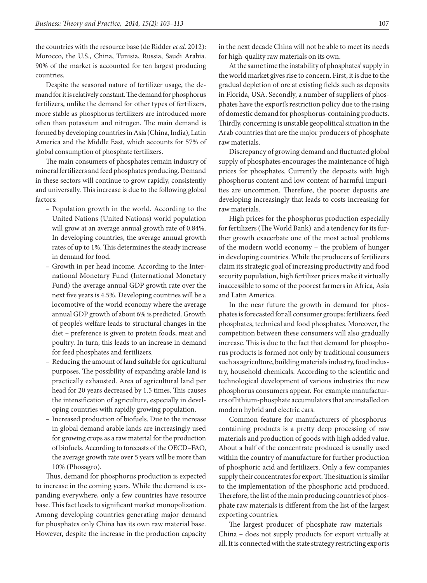the countries with the resource base (de Ridder *et al.* 2012): Morocco, the U.S., China, Tunisia, Russia, Saudi Arabia. 90% of the market is accounted for ten largest producing countries.

Despite the seasonal nature of fertilizer usage, the demand for it is relatively constant. The demand for phosphorus fertilizers, unlike the demand for other types of fertilizers, more stable as phosphorus fertilizers are introduced more often than potassium and nitrogen. The main demand is formed by developing countries in Asia (China, India), Latin America and the Middle East, which accounts for 57% of global consumption of phosphate fertilizers.

The main consumers of phosphates remain industry of mineral fertilizers and feed phosphates producing. Demand in these sectors will continue to grow rapidly, consistently and universally. This increase is due to the following global factors:

- Population growth in the world. According to the United Nations (United Nations) world population will grow at an average annual growth rate of 0.84%. In developing countries, the average annual growth rates of up to 1%. This determines the steady increase in demand for food.
- Growth in per head income. According to the International Monetary Fund (International Monetary Fund) the average annual GDP growth rate over the next five years is 4.5%. Developing countries will be a locomotive of the world economy where the average annual GDP growth of about 6% is predicted. Growth of people's welfare leads to structural changes in the diet – preference is given to protein foods, meat and poultry. In turn, this leads to an increase in demand for feed phosphates and fertilizers.
- Reducing the amount of land suitable for agricultural purposes. The possibility of expanding arable land is practically exhausted. Area of agricultural land per head for 20 years decreased by 1.5 times. This causes the intensification of agriculture, especially in developing countries with rapidly growing population.
- Increased production of biofuels. Due to the increase in global demand arable lands are increasingly used for growing crops as a raw material for the production of biofuels. According to forecasts of the OECD–FAO, the average growth rate over 5 years will be more than 10% (Phosagro).

Thus, demand for phosphorus production is expected to increase in the coming years. While the demand is expanding everywhere, only a few countries have resource base. This fact leads to significant market monopolization. Among developing countries generating major demand for phosphates only China has its own raw material base. However, despite the increase in the production capacity in the next decade China will not be able to meet its needs for high-quality raw materials on its own.

At the same time the instability of phosphates' supply in the world market gives rise to concern. First, it is due to the gradual depletion of ore at existing fields such as deposits in Florida, USA. Secondly, a number of suppliers of phosphates have the export's restriction policy due to the rising of domestic demand for phosphorus-containing products. Thirdly, concerning is unstable geopolitical situation in the Arab countries that are the major producers of phosphate raw materials.

Discrepancy of growing demand and fluctuated global supply of phosphates encourages the maintenance of high prices for phosphates. Currently the deposits with high phosphorus content and low content of harmful impurities are uncommon. Therefore, the poorer deposits are developing increasingly that leads to costs increasing for raw materials.

High prices for the phosphorus production especially for fertilizers (The World Bank) and a tendency for its further growth exacerbate one of the most actual problems of the modern world economy – the problem of hunger in developing countries. While the producers of fertilizers claim its strategic goal of increasing productivity and food security population, high fertilizer prices make it virtually inaccessible to some of the poorest farmers in Africa, Asia and Latin America.

In the near future the growth in demand for phosphates is forecasted for all consumer groups: fertilizers, feed phosphates, technical and food phosphates. Moreover, the competition between these consumers will also gradually increase. This is due to the fact that demand for phosphorus products is formed not only by traditional consumers such as agriculture, building materials industry, food industry, household chemicals. According to the scientific and technological development of various industries the new phosphorus consumers appear. For example manufacturers of lithium-phosphate accumulators that are installed on modern hybrid and electric cars.

Common feature for manufacturers of phosphoruscontaining products is a pretty deep processing of raw materials and production of goods with high added value. About a half of the concentrate produced is usually used within the country of manufacture for further production of phosphoric acid and fertilizers. Only a few companies supply their concentrates for export. The situation is similar to the implementation of the phosphoric acid produced. Therefore, the list of the main producing countries of phosphate raw materials is different from the list of the largest exporting countries.

The largest producer of phosphate raw materials – China – does not supply products for export virtually at all. It is connected with the state strategy restricting exports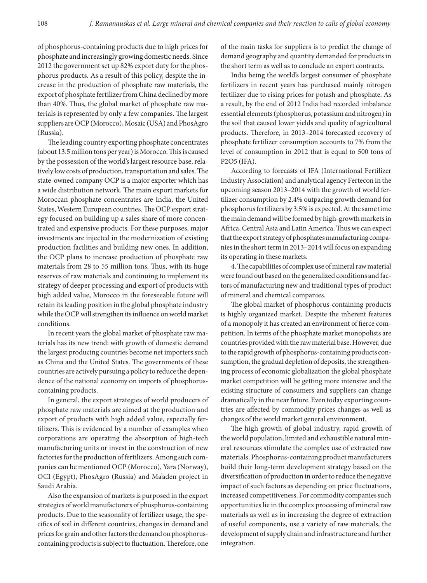of phosphorus-containing products due to high prices for phosphate and increasingly growing domestic needs. Since 2012 the government set up 82% export duty for the phosphorus products. As a result of this policy, despite the increase in the production of phosphate raw materials, the export of phosphate fertilizer from China declined by more than 40%. Thus, the global market of phosphate raw materials is represented by only a few companies. The largest suppliers are OCP (Morocco), Mosaic (USA) and PhosAgro (Russia).

The leading country exporting phosphate concentrates (about 13.5 million tons per year) is Morocco. This is caused by the possession of the world's largest resource base, relatively low costs of production, transportation and sales. The state-owned company OCP is a major exporter which has a wide distribution network. The main export markets for Moroccan phosphate concentrates are India, the United States, Western European countries. The OCP export strategy focused on building up a sales share of more concentrated and expensive products. For these purposes, major investments are injected in the modernization of existing production facilities and building new ones. In addition, the OCP plans to increase production of phosphate raw materials from 28 to 55 million tons. Thus, with its huge reserves of raw materials and continuing to implement its strategy of deeper processing and export of products with high added value, Morocco in the foreseeable future will retain its leading position in the global phosphate industry while the OCP will strengthen its influence on world market conditions.

In recent years the global market of phosphate raw materials has its new trend: with growth of domestic demand the largest producing countries become net importers such as China and the United States. The governments of these countries are actively pursuing a policy to reduce the dependence of the national economy on imports of phosphoruscontaining products.

In general, the export strategies of world producers of phosphate raw materials are aimed at the production and export of products with high added value, especially fertilizers. This is evidenced by a number of examples when corporations are operating the absorption of high-tech manufacturing units or invest in the construction of new factories for the production of fertilizers. Among such companies can be mentioned OCP (Morocco), Yara (Norway), OCI (Egypt), PhosAgro (Russia) and Ma'aden project in Saudi Arabia.

Also the expansion of markets is purposed in the export strategies of world manufacturers of phosphorus-containing products. Due to the seasonality of fertilizer usage, the specifics of soil in different countries, changes in demand and prices for grain and other factors the demand on phosphoruscontaining products is subject to fluctuation. Therefore, one of the main tasks for suppliers is to predict the change of demand geography and quantity demanded for products in the short term as well as to conclude an export contracts.

India being the world's largest consumer of phosphate fertilizers in recent years has purchased mainly nitrogen fertilizer due to rising prices for potash and phosphate. As a result, by the end of 2012 India had recorded imbalance essential elements (phosphorus, potassium and nitrogen) in the soil that caused lower yields and quality of agricultural products. Therefore, in 2013–2014 forecasted recovery of phosphate fertilizer consumption accounts to 7% from the level of consumption in 2012 that is equal to 500 tons of P2O5 (IFA).

According to forecasts of IFA (International Fertilizer Industry Association) and analytical agency Fertecon in the upcoming season 2013–2014 with the growth of world fertilizer consumption by 2.4% outpacing growth demand for phosphorus fertilizers by 3.5% is expected. At the same time the main demand will be formed by high-growth markets in Africa, Central Asia and Latin America. Thus we can expect that the export strategy of phosphates manufacturing companies in the short term in 2013–2014 will focus on expanding its operating in these markets.

4. The capabilities of complex use of mineral raw material were found out based on the generalized conditions and factors of manufacturing new and traditional types of product of mineral and chemical companies.

The global market of phosphorus-containing products is highly organized market. Despite the inherent features of a monopoly it has created an environment of fierce competition. In terms of the phosphate market monopolists are countries provided with the raw material base. However, due to the rapid growth of phosphorus-containing products consumption, the gradual depletion of deposits, the strengthening process of economic globalization the global phosphate market competition will be getting more intensive and the existing structure of consumers and suppliers can change dramatically in the near future. Even today exporting countries are affected by commodity prices changes as well as changes of the world market general environment.

The high growth of global industry, rapid growth of the world population, limited and exhaustible natural mineral resources stimulate the complex use of extracted raw materials. Phosphorus-containing product manufacturers build their long-term development strategy based on the diversification of production in order to reduce the negative impact of such factors as depending on price fluctuations, increased competitiveness. For commodity companies such opportunities lie in the complex processing of mineral raw materials as well as in increasing the degree of extraction of useful components, use a variety of raw materials, the development of supply chain and infrastructure and further integration.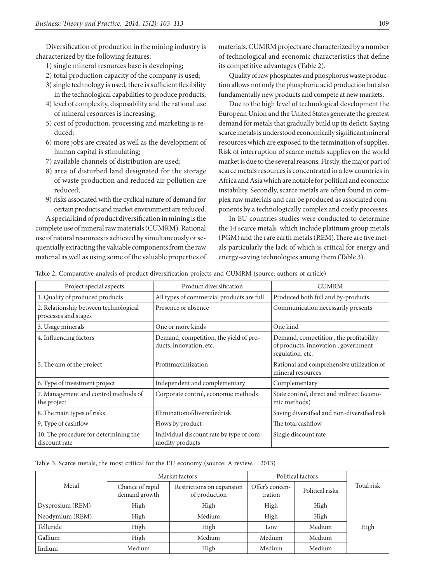Diversification of production in the mining industry is characterized by the following features:

- 1) single mineral resources base is developing;
- 2) total production capacity of the company is used;
- 3) single technology is used, there is sufficient flexibility in the technological capabilities to produce products;
- 4) level of complexity, disposability and the rational use of mineral resources is increasing;
- 5) cost of production, processing and marketing is reduced;
- 6) more jobs are created as well as the development of human capital is stimulating;
- 7) available channels of distribution are used;
- 8) area of disturbed land designated for the storage of waste production and reduced air pollution are reduced;
- 9) risks associated with the cyclical nature of demand for certain products and market environment are reduced.

A special kind of product diversification in mining is the complete use of mineral raw materials (CUMRM). Rational use of natural resources is achieved by simultaneously or sequentially extracting the valuable components from the raw material as well as using some of the valuable properties of materials. CUMRM projects are characterized by a number of technological and economic characteristics that define its competitive advantages (Table 2).

Quality of raw phosphates and phosphorus waste production allows not only the phosphoric acid production but also fundamentally new products and compete at new markets.

Due to the high level of technological development the European Union and the United States generate the greatest demand for metals that gradually build up its deficit. Saying scarce metals is understood economically significant mineral resources which are exposed to the termination of supplies. Risk of interruption of scarce metals supplies on the world market is due to the several reasons. Firstly, the major part of scarce metals resources is concentrated in a few countries in Africa and Asia which are notable for political and economic instability. Secondly, scarce metals are often found in complex raw materials and can be produced as associated components by a technologically complex and costly processes.

In EU countries studies were conducted to determine the 14 scarce metals which include platinum group metals (PGM) and the rare earth metals (REM).There are five metals particularly the lack of which is critical for energy and energy-saving technologies among them (Table 3).

Table 2. Comparative analysis of product diversification projects and CUMRM (source: authors of article)

| Project special aspects                                       | Product diversification                                           | <b>CUMRM</b>                                                                                      |  |
|---------------------------------------------------------------|-------------------------------------------------------------------|---------------------------------------------------------------------------------------------------|--|
| 1. Quality of produced products                               | All types of commercial products are full                         | Produced both full and by-products                                                                |  |
| 2. Relationship between technological<br>processes and stages | Presence or absence                                               | Communication necessarily presents                                                                |  |
| 3. Usage minerals                                             | One or more kinds                                                 | One kind                                                                                          |  |
| 4. Influencing factors                                        | Demand, competition, the yield of pro-<br>ducts, innovation, etc. | Demand, competition, the profitability<br>of products, innovation, government<br>regulation, etc. |  |
| 5. The aim of the project                                     | Profitmaximization                                                | Rational and comprehensive utilization of<br>mineral resources                                    |  |
| 6. Type of investment project                                 | Independent and complementary                                     | Complementary                                                                                     |  |
| 7. Management and control methods of<br>the project           | Corporate control, economic methods                               | State control, direct and indirect (econo-<br>mic methods)                                        |  |
| 8. The main types of risks                                    | Eliminationofdiversifiedrisk                                      | Saving diversified and non-diversified risk                                                       |  |
| 9. Type of cashflow                                           | Flows by product                                                  | The total cashflow                                                                                |  |
| 10. The procedure for determining the<br>discount rate        | Individual discount rate by type of com-<br>modity products       | Single discount rate                                                                              |  |

Table 3. Scarce metals, the most critical for the EU economy (source: A review… 2013)

|                  | Market factors                   |                                            | Political factors          |                 |            |
|------------------|----------------------------------|--------------------------------------------|----------------------------|-----------------|------------|
| Metal            | Chance of rapid<br>demand growth | Restrictions on expansion<br>of production | Offer's concen-<br>tration | Political risks | Total risk |
| Dysprosium (REM) | High                             | High                                       | High                       | High            |            |
| Neodymium (REM)  | High                             | Medium                                     | High                       | High            |            |
| Telluride        | High                             | High                                       | Low                        | Medium          | High       |
| Gallium          | High                             | Medium                                     | Medium                     | Medium          |            |
| Indium           | Medium                           | High                                       | Medium                     | Medium          |            |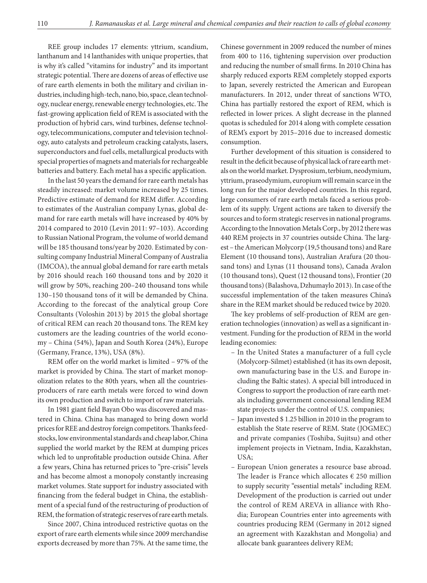REE group includes 17 elements: yttrium, scandium, lanthanum and 14 lanthanides with unique properties, that is why it's called "vitamins for industry" and its important strategic potential. There are dozens of areas of effective use of rare earth elements in both the military and civilian industries, including high-tech, nano, bio, space, clean technology, nuclear energy, renewable energy technologies, etc. The fast-growing application field of REM is associated with the production of hybrid cars, wind turbines, defense technology, telecommunications, computer and television technology, auto catalysts and petroleum cracking catalysts, lasers, superconductors and fuel cells, metallurgical products with special properties of magnets and materials for rechargeable batteries and battery. Each metal has a specific application.

In the last 50 years the demand for rare earth metals has steadily increased: market volume increased by 25 times. Predictive estimate of demand for REM differ. According to estimates of the Australian company Lynas, global demand for rare earth metals will have increased by 40% by 2014 compared to 2010 (Levin 2011: 97–103). According to Russian National Program, the volume of world demand will be 185 thousand tons/year by 2020. Estimated by consulting company Industrial Mineral Company of Australia (IMCOA), the annual global demand for rare earth metals by 2016 should reach 160 thousand tons and by 2020 it will grow by 50%, reaching 200–240 thousand tons while 130–150 thousand tons of it will be demanded by China. According to the forecast of the analytical group Core Consultants (Voloshin 2013) by 2015 the global shortage of critical REM can reach 20 thousand tons. The REM key customers are the leading countries of the world economy – China (54%), Japan and South Korea (24%), Europe (Germany, France, 13%), USA (8%).

REM offer on the world market is limited – 97% of the market is provided by China. The start of market monopolization relates to the 80th years, when all the countriesproducers of rare earth metals were forced to wind down its own production and switch to import of raw materials.

In 1981 giant field Bayan Obo was discovered and mastered in China. China has managed to bring down world prices for REE and destroy foreign competitors. Thanks feedstocks, low environmental standards and cheap labor, China supplied the world market by the REM at dumping prices which led to unprofitable production outside China. After a few years, China has returned prices to "pre-crisis" levels and has become almost a monopoly constantly increasing market volumes. State support for industry associated with financing from the federal budget in China, the establishment of a special fund of the restructuring of production of REM, the formation of strategic reserves of rare earth metals.

Since 2007, China introduced restrictive quotas on the export of rare earth elements while since 2009 merchandise exports decreased by more than 75%. At the same time, the

Chinese government in 2009 reduced the number of mines from 400 to 116, tightening supervision over production and reducing the number of small firms. In 2010 China has sharply reduced exports REM completely stopped exports to Japan, severely restricted the American and European manufacturers. In 2012, under threat of sanctions WTO, China has partially restored the export of REM, which is reflected in lower prices. A slight decrease in the planned quotas is scheduled for 2014 along with complete cessation of REM's export by 2015–2016 due to increased domestic consumption.

Further development of this situation is considered to result in the deficit because of physical lack of rare earth metals on the world market. Dysprosium, terbium, neodymium, yttrium, praseodymium, europium will remain scarce in the long run for the major developed countries. In this regard, large consumers of rare earth metals faced a serious problem of its supply. Urgent actions are taken to diversify the sources and to form strategic reserves in national programs. According to the Innovation Metals Corp., by 2012 there was 440 REM projects in 37 countries outside China. The largest – the American Molycorp (19,5 thousand tons) and Rare Element (10 thousand tons), Australian Arafura (20 thousand tons) and Lynas (11 thousand tons), Canada Avalon (10 thousand tons), Quest (12 thousand tons), Frontier (20 thousand tons) (Balashova, Dzhumaylo 2013). In case of the successful implementation of the taken measures China's share in the REM market should be reduced twice by 2020.

The key problems of self-production of REM are generation technologies (innovation) as well as a significant investment. Funding for the production of REM in the world leading economies:

- In the United States a manufacturer of a full cycle (Molycorp-Silmet) established (it has its own deposit, own manufacturing base in the U.S. and Europe including the Baltic states). A special bill introduced in Congress to support the production of rare earth metals including government concessional lending REM state projects under the control of U.S. companies;
- Japan invested \$ 1.25 billion in 2010 in the program to establish the State reserve of REM. State (JOGMEC) and private companies (Toshiba, Sujitsu) and other implement projects in Vietnam, India, Kazakhstan, USA;
- European Union generates a resource base abroad. The leader is France which allocates  $\epsilon$  250 million to supply security "essential metals" including REM. Development of the production is carried out under the control of REM AREVA in alliance with Rhodia; European Countries enter into agreements with countries producing REM (Germany in 2012 signed an agreement with Kazakhstan and Mongolia) and allocate bank guarantees delivery REM;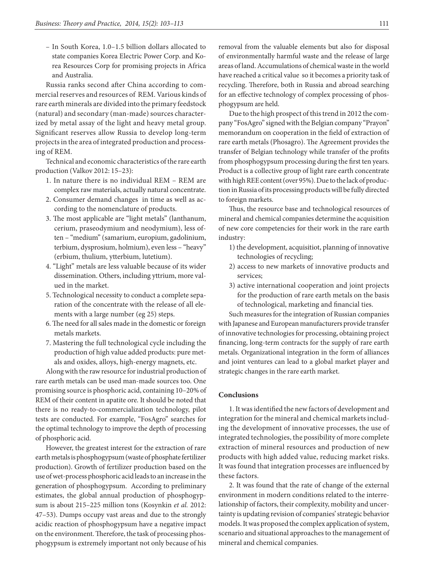– In South Korea, 1.0–1.5 billion dollars allocated to state companies Korea Electric Power Corp. and Korea Resources Corp for promising projects in Africa and Australia.

Russia ranks second after China according to commercial reserves and resources of REM. Various kinds of rare earth minerals are divided into the primary feedstock (natural) and secondary (man-made) sources characterized by metal assay of the light and heavy metal group. Significant reserves allow Russia to develop long-term projects in the area of integrated production and process ing of REM.

Technical and economic characteristics of the rare earth production (Valkov 2012: 15–23):

- 1. In nature there is no individual REM REM are complex raw materials, actually natural concentrate.
- 2. Consumer demand changes in time as well as according to the nomenclature of products.
- 3. The most applicable are "light metals" (lanthanum, cerium, praseodymium and neodymium), less often – "medium" (samarium, europium, gadolinium, terbium, dysprosium, holmium), even less – "heavy" (erbium, thulium, ytterbium, lutetium).
- 4. "Light" metals are less valuable because of its wider dissemination. Others, including yttrium, more valued in the market.
- 5. Technological necessity to conduct a complete separation of the concentrate with the release of all elements with a large number (eg 25) steps.
- 6. The need for all sales made in the domestic or foreign metals markets.
- 7. Mastering the full technological cycle including the production of high value added products: pure metals and oxides, alloys, high-energy magnets, etc.

Along with the raw resource for industrial production of rare earth metals can be used man-made sources too. One promising source is phosphoric acid, containing 10–20% of REM of their content in apatite ore. It should be noted that there is no ready-to-commercialization technology, pilot tests are conducted. For example, "FosAgro" searches for the optimal technology to improve the depth of processing of phosphoric acid.

However, the greatest interest for the extraction of rare earth metals is phosphogypsum (waste of phosphate fertilizer production). Growth of fertilizer production based on the use of wet-process phosphoric acid leads to an increase in the generation of phosphogypsum. According to preliminary estimates, the global annual production of phosphogypsum is about 215–225 million tons (Kosynkin *et al.* 2012: 47–53). Dumps occupy vast areas and due to the strongly acidic reaction of phosphogypsum have a negative impact on the environment. Therefore, the task of processing phosphogypsum is extremely important not only because of his

removal from the valuable elements but also for disposal of environmentally harmful waste and the release of large areas of land. Accumulations of chemical waste in the world have reached a critical value so it becomes a priority task of recycling. Therefore, both in Russia and abroad searching for an effective technology of complex processing of phosphogypsum are held.

Due to the high prospect of this trend in 2012 the company "FosAgro" signed with the Belgian company "Prayon" memorandum on cooperation in the field of extraction of rare earth metals (Phosagro). The Agreement provides the transfer of Belgian technology while transfer of the profits from phosphogypsum processing during the first ten years. Product is a collective group of light rare earth concentrate with high REE content (over 95%). Due to the lack of production in Russia of its processing products will be fully directed to foreign markets.

Thus, the resource base and technological resources of mineral and chemical companies determine the acquisition of new core competencies for their work in the rare earth industry:

- 1) the development, acquisitiot, planning of innovative technologies of recycling;
- 2) access to new markets of innovative products and services;
- 3) active international cooperation and joint projects for the production of rare earth metals on the basis of technological, marketing and financial ties.

Such measures for the integration of Russian companies with Japanese and European manufacturers provide transfer of innovative technologies for processing, obtaining project financing, long-term contracts for the supply of rare earth metals. Organizational integration in the form of alliances and joint ventures can lead to a global market player and strategic changes in the rare earth market.

### **Conclusions**

1. It was identified the new factors of development and integration for the mineral and chemical markets including the development of innovative processes, the use of integrated technologies, the possibility of more complete extraction of mineral resources and production of new products with high added value, reducing market risks. It was found that integration processes are influenced by these factors.

2. It was found that the rate of change of the external environment in modern conditions related to the interrelationship of factors, their complexity, mobility and uncertainty is updating revision of companies' strategic behavior models. It was proposed the complex application of system, scenario and situational approaches to the management of mineral and chemical companies.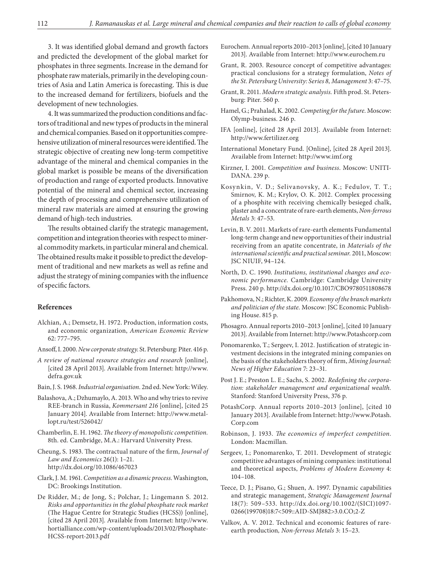3. It was identified global demand and growth factors and predicted the development of the global market for phosphates in three segments. Increase in the demand for phosphate raw materials, primarily in the developing countries of Asia and Latin America is forecasting. This is due to the increased demand for fertilizers, biofuels and the development of new technologies.

4. It was summarized the production conditions and factors of traditional and new types of products in the mineral and chemical companies. Based on it opportunities comprehensive utilization of mineral resources were identified. The strategic objective of creating new long-term competitive advantage of the mineral and chemical companies in the global market is possible be means of the diversification of production and range of exported products. Innovative potential of the mineral and chemical sector, increasing the depth of processing and comprehensive utilization of mineral raw materials are aimed at ensuring the growing demand of high-tech industries.

The results obtained clarify the strategic management, competition and integration theories with respect to mineral commodity markets, in particular mineral and chemical. The obtained results make it possible to predict the development of traditional and new markets as well as refine and adjust the strategy of mining companies with the influence of specific factors.

### **References**

- Alchian, A.; Demsetz, H. 1972. Production, information costs, and economic organization, *American Economic Review* 62: 777–795.
- Ansoff, I. 2000. *New corporate strategy*. St. Petersburg: Piter. 416 р.
- *A review of national resource strategies and research* [online], [cited 28 April 2013]. Available from Internet: http://www. defra.gov.uk
- Bain, J. S. 1968. *Industrial organisation.* 2nd ed. New York: Wiley.
- Balashova, A.; Dzhumaylo, A. 2013. Who and why tries to revive REE-branch in Russia, *Kommersant 216* [online], [cited 25 January 2014]. Available from Internet: http://www.metallopt.ru/test/526042/
- Chamberlin, E. H. 1962. *The theory of monopolistic competition.* 8th. ed. Cambridge, M.A.: Harvard University Press.
- Cheung, S. 1983. The contractual nature of the firm, *Journal of Law and Economics* 26(1): 1–21. http://dx.doi.org/10.1086/467023
- Clark, J. M. 1961. *Competition as a dinamic process*. Washington, DC: Brookings Institution.
- De Ridder, M.; de Jong, S.; Polchar, J.; Lingemann S. 2012. *Risks and opportunities in the global phosphate rock market* (The Hague Centre for Strategic Studies (HCSS)) [online], [cited 28 April 2013]. Available from Internet: http://www. hortialliance.com/wp-content/uploads/2013/02/Phosphate-HCSS-report-2013.pdf
- Eurochem. Annual reports 2010–2013 [online], [cited 10 January 2013]. Available from Internet: http://www.eurochem.ru
- Grant, R. 2003. Resource concept of competitive advantages: practical conclusions for a strategy formulation, *Notes of the St. Petersburg University: Series 8, Management* 3: 47–75.
- Grant, R. 2011. *Modern strategic analysis.* Fifth prod. St. Petersburg: Piter. 560 p.
- Hamel, G.; Prahalad, K. 2002. *Competing for the future.* Moscow: Olymp-business. 246 p.
- IFA [online], [cited 28 April 2013]. Available from Internet: http://www.fertilizer.org
- International Monetary Fund. [Online], [cited 28 April 2013]. Available from Internet: http://www.imf.org
- Kirzner, I. 2001. *Competition and business*. Moscow: UNITI-DANA. 239 p.
- Kosynkin, V. D.; Selivanovsky, A. K.; Fedulov, T. T.; Smirnov, K. M.; Krylov, O. K. 2012. Complex processing of a phosphite with receiving chemically besieged chalk, plaster and a concentrate of rare-earth elements, *Non-ferrous Metals* 3: 47–53.
- Levin, B. V. 2011. Markets of rare-earth elements Fundamental long-term change and new opportunities of their industrial receiving from an apatite concentrate, in *Materials of the international scientific and practical seminar.* 2011, Moscow: JSC NIUIF, 94–124.
- North, D. C. 1990. *Institutions, institutional changes and economic performance.* Cambridge: Cambridge University Press. 240 p. http://dx.doi.org/10.1017/CBO9780511808678
- Pakhomova, N.; Richter, K. 2009. *Economy of the branch markets and politician of the state.* Moscow: JSC Economic Publishing House. 815 p.
- Phosagro. Annual reports 2010–2013 [online], [cited 10 January 2013]. Available from Internet: http://www.Potashcorp.com
- Ponomarenko, T.; Sergeev, I. 2012. Justification of strategic investment decisions in the integrated mining companies on the basis of the stakeholders theory of firm, *Mining Journal: News of Higher Education* 7: 23–31.
- Post J. E.; Preston L. E.; Sachs, S. 2002. *Redefining the corporation: stakeholder management and organizational wealth.* Stanford: Stanford University Press, 376 p.
- PotashCorp. Annual reports 2010–2013 [online], [cited 10 January 2013]. Available from Internet: http://www.Potash. Corp.com
- Robinson, J. 1933. *The economics of imperfect competition.* London: Macmillan.
- Sergeev, I.; Ponomarenko, T. 2011. Development of strategic competitive advantages of mining companies: institutional and theoretical aspects, *Problems of Modern Economy* 4: 104–108.
- Teece, D. J.; Pisano, G.; Shuen, A. 1997. Dynamic capabilities and strategic management, *Strategic Management Journal* 18(7): 509–533. http://dx.doi.org/10.1002/(SICI)1097-0266(199708)18:7<509::AID-SMJ882>3.0.CO;2-Z
- Valkov, A. V. 2012. Technical and economic features of rareearth production*, Non-ferrous Metals* 3: 15–23.